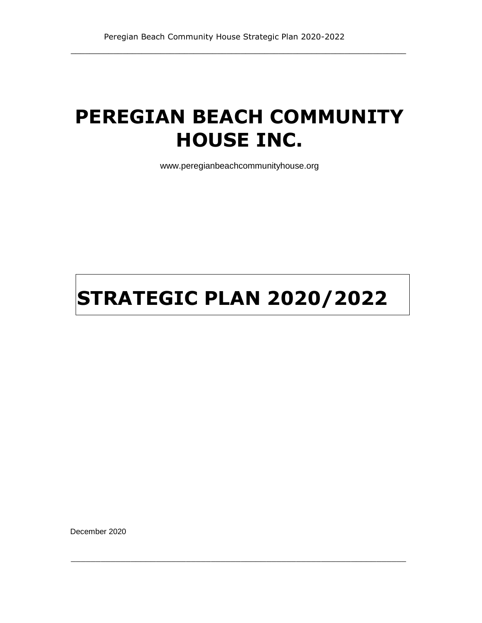# **PEREGIAN BEACH COMMUNITY HOUSE INC.**

\_\_\_\_\_\_\_\_\_\_\_\_\_\_\_\_\_\_\_\_\_\_\_\_\_\_\_\_\_\_\_\_\_\_\_\_\_\_\_\_\_\_\_\_\_\_\_\_\_\_\_\_\_\_\_\_\_\_\_\_\_\_\_\_\_\_\_\_\_\_\_

www.peregianbeachcommunityhouse.org

# **STRATEGIC PLAN 2020/2022**

 $\_$  ,  $\_$  ,  $\_$  ,  $\_$  ,  $\_$  ,  $\_$  ,  $\_$  ,  $\_$  ,  $\_$  ,  $\_$  ,  $\_$  ,  $\_$  ,  $\_$  ,  $\_$  ,  $\_$  ,  $\_$  ,  $\_$  ,  $\_$  ,  $\_$ 

December 2020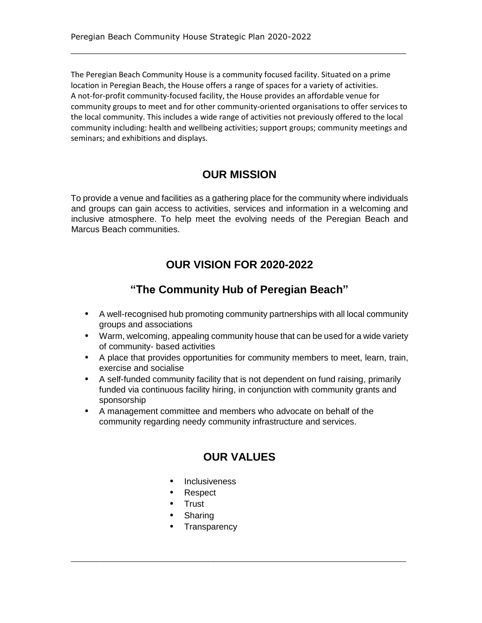The Peregian Beach Community House is a community focused facility. Situated on a prime location in Peregian Beach, the House offers a range of spaces for a variety of activities. A not-for-profit community-focused facility, the House provides an affordable venue for community groups to meet and for other community-oriented organisations to offer services to the local community. This includes a wide range of activities not previously offered to the local community including: health and wellbeing activities; support groups; community meetings and seminars; and exhibitions and displays.

\_\_\_\_\_\_\_\_\_\_\_\_\_\_\_\_\_\_\_\_\_\_\_\_\_\_\_\_\_\_\_\_\_\_\_\_\_\_\_\_\_\_\_\_\_\_\_\_\_\_\_\_\_\_\_\_\_\_\_\_\_\_\_\_\_\_\_\_\_\_\_

# **OUR MISSION**

To provide a venue and facilities as a gathering place for the community where individuals and groups can gain access to activities, services and information in a welcoming and inclusive atmosphere. To help meet the evolving needs of the Peregian Beach and Marcus Beach communities.

# **OUR VISION FOR 2020-2022**

# **"The Community Hub of Peregian Beach"**

- **•** A well-recognised hub promoting community partnerships with all local community groups and associations
- **•** Warm, welcoming, appealing community house that can be used for a wide variety of community- based activities
- **•** A place that provides opportunities for community members to meet, learn, train, exercise and socialise
- **•** A self-funded community facility that is not dependent on fund raising, primarily funded via continuous facility hiring, in conjunction with community grants and sponsorship
- **•** A management committee and members who advocate on behalf of the community regarding needy community infrastructure and services.

# **OUR VALUES**

- **•** Inclusiveness
- **•** Respect
- **•** Trust
- **•** Sharing
- **•** Transparency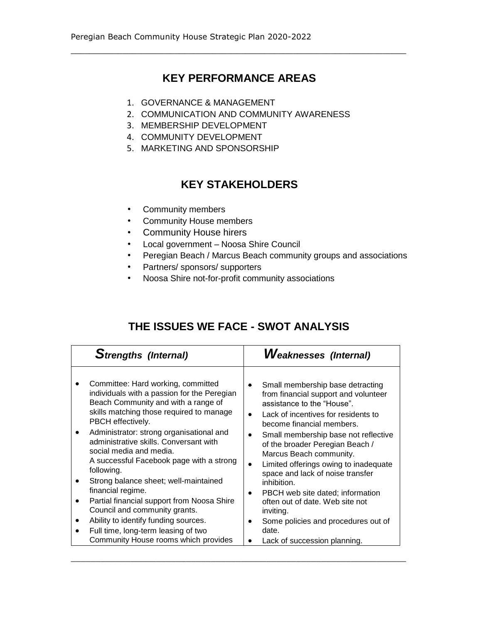\_\_\_\_\_\_\_\_\_\_\_\_\_\_\_\_\_\_\_\_\_\_\_\_\_\_\_\_\_\_\_\_\_\_\_\_\_\_\_\_\_\_\_\_\_\_\_\_\_\_\_\_\_\_\_\_\_\_\_\_\_\_\_\_\_\_\_\_\_\_\_

- 1. GOVERNANCE & MANAGEMENT
- 2. COMMUNICATION AND COMMUNITY AWARENESS
- 3. MEMBERSHIP DEVELOPMENT
- 4. COMMUNITY DEVELOPMENT
- 5. MARKETING AND SPONSORSHIP

# **KEY STAKEHOLDERS**

- Community members
- Community House members
- Community House hirers
- Local government Noosa Shire Council
- Peregian Beach / Marcus Beach community groups and associations
- Partners/ sponsors/ supporters
- Noosa Shire not-for-profit community associations

# **THE ISSUES WE FACE - SWOT ANALYSIS**

| <b>Strengths (Internal)</b>                 | <b>Weaknesses (Internal)</b>          |
|---------------------------------------------|---------------------------------------|
| Committee: Hard working, committed          | Small membership base detracting      |
| individuals with a passion for the Peregian | from financial support and volunteer  |
| Beach Community and with a range of         | assistance to the "House".            |
| skills matching those required to manage    | Lack of incentives for residents to   |
| PBCH effectively.                           | become financial members.             |
| Administrator: strong organisational and    | Small membership base not reflective  |
| administrative skills. Conversant with      | of the broader Peregian Beach /       |
| social media and media.                     | Marcus Beach community.               |
| A successful Facebook page with a strong    | Limited offerings owing to inadequate |
| following.                                  | space and lack of noise transfer      |
| Strong balance sheet; well-maintained       | inhibition.                           |
| financial regime.                           | PBCH web site dated; information      |
| Partial financial support from Noosa Shire  | often out of date. Web site not       |
| Council and community grants.               | inviting.                             |
| Ability to identify funding sources.        | Some policies and procedures out of   |
| Full time, long-term leasing of two         | date.                                 |
| Community House rooms which provides        | Lack of succession planning.          |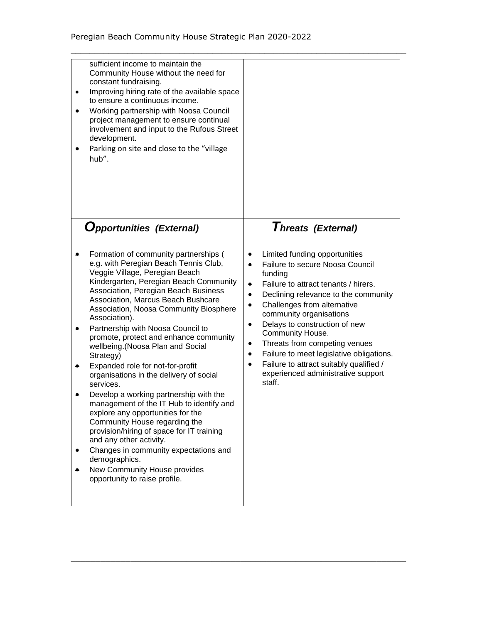| sufficient income to maintain the<br>Community House without the need for<br>constant fundraising.<br>Improving hiring rate of the available space<br>$\bullet$<br>to ensure a continuous income.<br>Working partnership with Noosa Council<br>project management to ensure continual<br>involvement and input to the Rufous Street<br>development.<br>Parking on site and close to the "village<br>hub".                                                                                                                                                                                                                                                                                                                                                                                                                                                                                      |                                                                                                                                                                                                                                                                                                                                                                                                                                                                                                                                                         |
|------------------------------------------------------------------------------------------------------------------------------------------------------------------------------------------------------------------------------------------------------------------------------------------------------------------------------------------------------------------------------------------------------------------------------------------------------------------------------------------------------------------------------------------------------------------------------------------------------------------------------------------------------------------------------------------------------------------------------------------------------------------------------------------------------------------------------------------------------------------------------------------------|---------------------------------------------------------------------------------------------------------------------------------------------------------------------------------------------------------------------------------------------------------------------------------------------------------------------------------------------------------------------------------------------------------------------------------------------------------------------------------------------------------------------------------------------------------|
| <b>Opportunities (External)</b>                                                                                                                                                                                                                                                                                                                                                                                                                                                                                                                                                                                                                                                                                                                                                                                                                                                                | Threats (External)                                                                                                                                                                                                                                                                                                                                                                                                                                                                                                                                      |
| Formation of community partnerships (<br>e.g. with Peregian Beach Tennis Club,<br>Veggie Village, Peregian Beach<br>Kindergarten, Peregian Beach Community<br>Association, Peregian Beach Business<br>Association, Marcus Beach Bushcare<br>Association, Noosa Community Biosphere<br>Association).<br>Partnership with Noosa Council to<br>promote, protect and enhance community<br>wellbeing.(Noosa Plan and Social<br>Strategy)<br>Expanded role for not-for-profit<br>organisations in the delivery of social<br>services.<br>Develop a working partnership with the<br>management of the IT Hub to identify and<br>explore any opportunities for the<br>Community House regarding the<br>provision/hiring of space for IT training<br>and any other activity.<br>Changes in community expectations and<br>demographics.<br>New Community House provides<br>opportunity to raise profile. | Limited funding opportunities<br>٠<br>Failure to secure Noosa Council<br>$\bullet$<br>funding<br>Failure to attract tenants / hirers.<br>$\bullet$<br>Declining relevance to the community<br>$\bullet$<br>Challenges from alternative<br>$\bullet$<br>community organisations<br>Delays to construction of new<br>$\bullet$<br>Community House.<br>Threats from competing venues<br>٠<br>Failure to meet legislative obligations.<br>$\bullet$<br>Failure to attract suitably qualified /<br>$\bullet$<br>experienced administrative support<br>staff. |

 $\_$  ,  $\_$  ,  $\_$  ,  $\_$  ,  $\_$  ,  $\_$  ,  $\_$  ,  $\_$  ,  $\_$  ,  $\_$  ,  $\_$  ,  $\_$  ,  $\_$  ,  $\_$  ,  $\_$  ,  $\_$  ,  $\_$  ,  $\_$  ,  $\_$ 

\_\_\_\_\_\_\_\_\_\_\_\_\_\_\_\_\_\_\_\_\_\_\_\_\_\_\_\_\_\_\_\_\_\_\_\_\_\_\_\_\_\_\_\_\_\_\_\_\_\_\_\_\_\_\_\_\_\_\_\_\_\_\_\_\_\_\_\_\_\_\_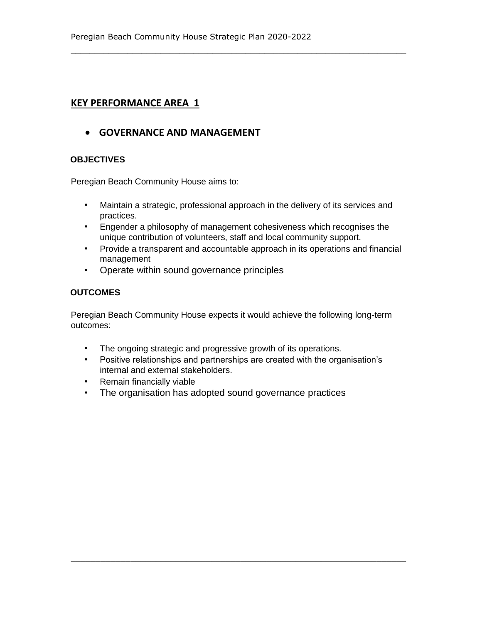## **GOVERNANCE AND MANAGEMENT**

#### **OBJECTIVES**

Peregian Beach Community House aims to:

• Maintain a strategic, professional approach in the delivery of its services and practices.

\_\_\_\_\_\_\_\_\_\_\_\_\_\_\_\_\_\_\_\_\_\_\_\_\_\_\_\_\_\_\_\_\_\_\_\_\_\_\_\_\_\_\_\_\_\_\_\_\_\_\_\_\_\_\_\_\_\_\_\_\_\_\_\_\_\_\_\_\_\_\_

- Engender a philosophy of management cohesiveness which recognises the unique contribution of volunteers, staff and local community support.
- Provide a transparent and accountable approach in its operations and financial management
- Operate within sound governance principles

## **OUTCOMES**

Peregian Beach Community House expects it would achieve the following long-term outcomes:

- The ongoing strategic and progressive growth of its operations.
- Positive relationships and partnerships are created with the organisation's internal and external stakeholders.

- Remain financially viable
- The organisation has adopted sound governance practices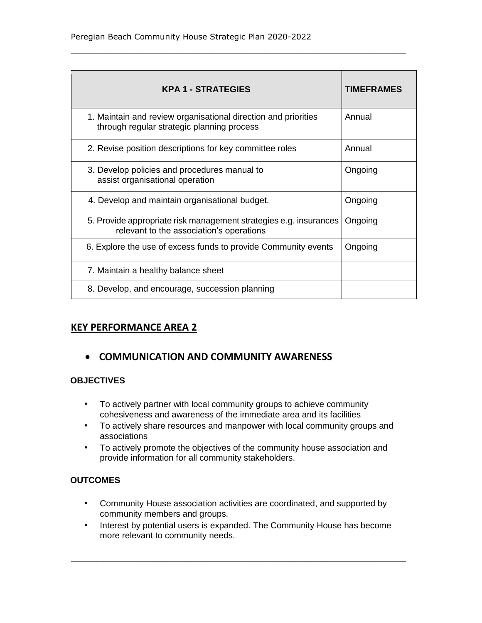| <b>KPA 1 - STRATEGIES</b>                                                                                     | <b>TIMEFRAMES</b> |
|---------------------------------------------------------------------------------------------------------------|-------------------|
| 1. Maintain and review organisational direction and priorities<br>through regular strategic planning process  | Annual            |
| 2. Revise position descriptions for key committee roles                                                       | Annual            |
| 3. Develop policies and procedures manual to<br>assist organisational operation                               | Ongoing           |
| 4. Develop and maintain organisational budget.                                                                | Ongoing           |
| 5. Provide appropriate risk management strategies e.g. insurances<br>relevant to the association's operations | Ongoing           |
| 6. Explore the use of excess funds to provide Community events                                                | Ongoing           |
| 7. Maintain a healthy balance sheet                                                                           |                   |
| 8. Develop, and encourage, succession planning                                                                |                   |

\_\_\_\_\_\_\_\_\_\_\_\_\_\_\_\_\_\_\_\_\_\_\_\_\_\_\_\_\_\_\_\_\_\_\_\_\_\_\_\_\_\_\_\_\_\_\_\_\_\_\_\_\_\_\_\_\_\_\_\_\_\_\_\_\_\_\_\_\_\_\_

# **KEY PERFORMANCE AREA 2**

# **COMMUNICATION AND COMMUNITY AWARENESS**

## **OBJECTIVES**

- To actively partner with local community groups to achieve community cohesiveness and awareness of the immediate area and its facilities
- To actively share resources and manpower with local community groups and associations
- To actively promote the objectives of the community house association and provide information for all community stakeholders.

## **OUTCOMES**

- Community House association activities are coordinated, and supported by community members and groups.
- Interest by potential users is expanded. The Community House has become more relevant to community needs.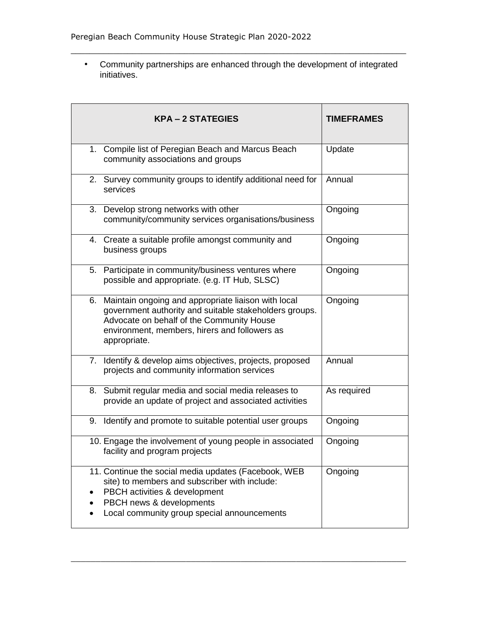• Community partnerships are enhanced through the development of integrated initiatives.

\_\_\_\_\_\_\_\_\_\_\_\_\_\_\_\_\_\_\_\_\_\_\_\_\_\_\_\_\_\_\_\_\_\_\_\_\_\_\_\_\_\_\_\_\_\_\_\_\_\_\_\_\_\_\_\_\_\_\_\_\_\_\_\_\_\_\_\_\_\_\_

| <b>KPA-2 STATEGIES</b>                                                                                                                                                                                                         | <b>TIMEFRAMES</b> |
|--------------------------------------------------------------------------------------------------------------------------------------------------------------------------------------------------------------------------------|-------------------|
| 1. Compile list of Peregian Beach and Marcus Beach<br>community associations and groups                                                                                                                                        | Update            |
| 2. Survey community groups to identify additional need for<br>services                                                                                                                                                         | Annual            |
| 3. Develop strong networks with other<br>community/community services organisations/business                                                                                                                                   | Ongoing           |
| 4. Create a suitable profile amongst community and<br>business groups                                                                                                                                                          | Ongoing           |
| 5. Participate in community/business ventures where<br>possible and appropriate. (e.g. IT Hub, SLSC)                                                                                                                           | Ongoing           |
| 6. Maintain ongoing and appropriate liaison with local<br>government authority and suitable stakeholders groups.<br>Advocate on behalf of the Community House<br>environment, members, hirers and followers as<br>appropriate. | Ongoing           |
| 7. Identify & develop aims objectives, projects, proposed<br>projects and community information services                                                                                                                       | Annual            |
| Submit regular media and social media releases to<br>8.<br>provide an update of project and associated activities                                                                                                              | As required       |
| 9. Identify and promote to suitable potential user groups                                                                                                                                                                      | Ongoing           |
| 10. Engage the involvement of young people in associated<br>facility and program projects                                                                                                                                      | Ongoing           |
| 11. Continue the social media updates (Facebook, WEB<br>site) to members and subscriber with include:<br>PBCH activities & development<br>PBCH news & developments<br>Local community group special announcements              | Ongoing           |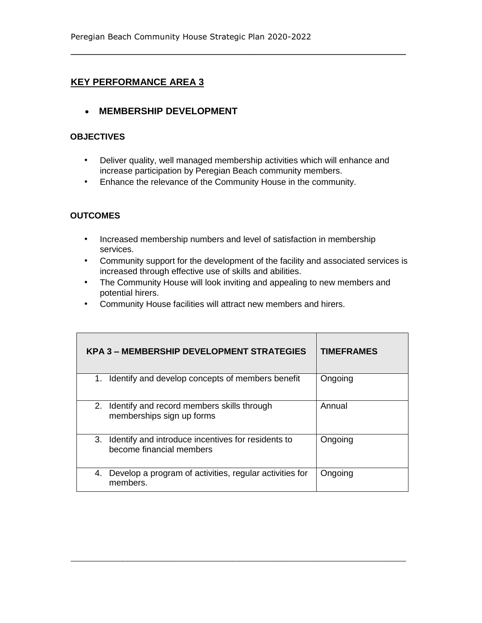## **MEMBERSHIP DEVELOPMENT**

## **OBJECTIVES**

• Deliver quality, well managed membership activities which will enhance and increase participation by Peregian Beach community members.

**\_\_\_\_\_\_\_\_\_\_\_\_\_\_\_\_\_\_\_\_\_\_\_\_\_\_\_\_\_\_\_\_\_\_\_\_\_\_\_\_\_\_\_\_\_\_\_\_\_\_\_\_\_\_\_\_\_\_\_\_\_\_\_\_\_\_\_\_\_\_\_** 

• Enhance the relevance of the Community House in the community.

## **OUTCOMES**

- Increased membership numbers and level of satisfaction in membership services.
- Community support for the development of the facility and associated services is increased through effective use of skills and abilities.
- The Community House will look inviting and appealing to new members and potential hirers.
- Community House facilities will attract new members and hirers.

| KPA 3 – MEMBERSHIP DEVELOPMENT STRATEGIES                                         | <b>TIMEFRAMES</b> |
|-----------------------------------------------------------------------------------|-------------------|
| 1. Identify and develop concepts of members benefit                               | Ongoing           |
| 2. Identify and record members skills through<br>memberships sign up forms        | Annual            |
| 3. Identify and introduce incentives for residents to<br>become financial members | Ongoing           |
| Develop a program of activities, regular activities for<br>4.<br>members.         | Ongoing           |

 $\_$  , and the set of the set of the set of the set of the set of the set of the set of the set of the set of the set of the set of the set of the set of the set of the set of the set of the set of the set of the set of th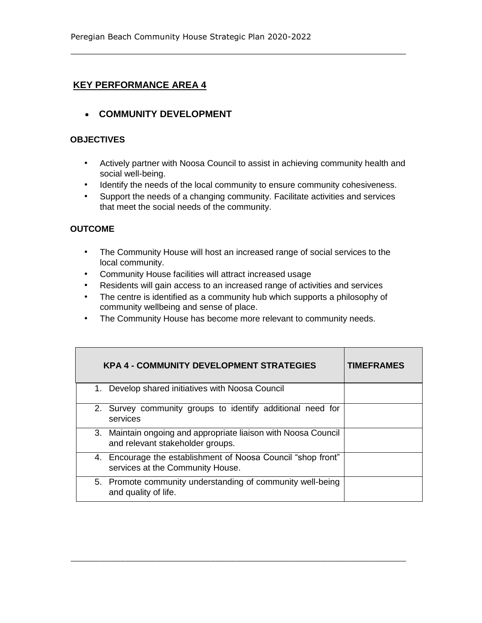**COMMUNITY DEVELOPMENT** 

## **OBJECTIVES**

- Actively partner with Noosa Council to assist in achieving community health and social well-being.
- Identify the needs of the local community to ensure community cohesiveness.

\_\_\_\_\_\_\_\_\_\_\_\_\_\_\_\_\_\_\_\_\_\_\_\_\_\_\_\_\_\_\_\_\_\_\_\_\_\_\_\_\_\_\_\_\_\_\_\_\_\_\_\_\_\_\_\_\_\_\_\_\_\_\_\_\_\_\_\_\_\_\_

• Support the needs of a changing community. Facilitate activities and services that meet the social needs of the community.

## **OUTCOME**

- The Community House will host an increased range of social services to the local community.
- Community House facilities will attract increased usage
- Residents will gain access to an increased range of activities and services
- The centre is identified as a community hub which supports a philosophy of community wellbeing and sense of place.
- The Community House has become more relevant to community needs.

| <b>KPA 4 - COMMUNITY DEVELOPMENT STRATEGIES</b>                                                    | <b>TIMEFRAMES</b> |
|----------------------------------------------------------------------------------------------------|-------------------|
| 1. Develop shared initiatives with Noosa Council                                                   |                   |
| 2. Survey community groups to identify additional need for<br>services                             |                   |
| 3. Maintain ongoing and appropriate liaison with Noosa Council<br>and relevant stakeholder groups. |                   |
| 4. Encourage the establishment of Noosa Council "shop front"<br>services at the Community House.   |                   |
| 5. Promote community understanding of community well-being<br>and quality of life.                 |                   |

 $\_$  , and the set of the set of the set of the set of the set of the set of the set of the set of the set of the set of the set of the set of the set of the set of the set of the set of the set of the set of the set of th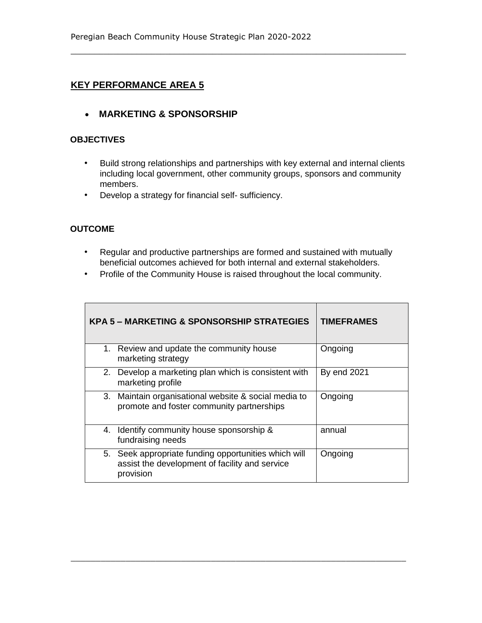**MARKETING & SPONSORSHIP** 

#### **OBJECTIVES**

• Build strong relationships and partnerships with key external and internal clients including local government, other community groups, sponsors and community members.

\_\_\_\_\_\_\_\_\_\_\_\_\_\_\_\_\_\_\_\_\_\_\_\_\_\_\_\_\_\_\_\_\_\_\_\_\_\_\_\_\_\_\_\_\_\_\_\_\_\_\_\_\_\_\_\_\_\_\_\_\_\_\_\_\_\_\_\_\_\_\_

• Develop a strategy for financial self- sufficiency.

## **OUTCOME**

- Regular and productive partnerships are formed and sustained with mutually beneficial outcomes achieved for both internal and external stakeholders.
- Profile of the Community House is raised throughout the local community.

| <b>KPA 5 - MARKETING &amp; SPONSORSHIP STRATEGIES</b>                                                               | <b>TIMEFRAMES</b> |
|---------------------------------------------------------------------------------------------------------------------|-------------------|
| 1. Review and update the community house<br>marketing strategy                                                      | Ongoing           |
| 2. Develop a marketing plan which is consistent with<br>marketing profile                                           | By end 2021       |
| 3. Maintain organisational website & social media to<br>promote and foster community partnerships                   | Ongoing           |
| 4. Identify community house sponsorship &<br>fundraising needs                                                      | annual            |
| 5. Seek appropriate funding opportunities which will<br>assist the development of facility and service<br>provision | Ongoing           |

 $\_$  , and the set of the set of the set of the set of the set of the set of the set of the set of the set of the set of the set of the set of the set of the set of the set of the set of the set of the set of the set of th